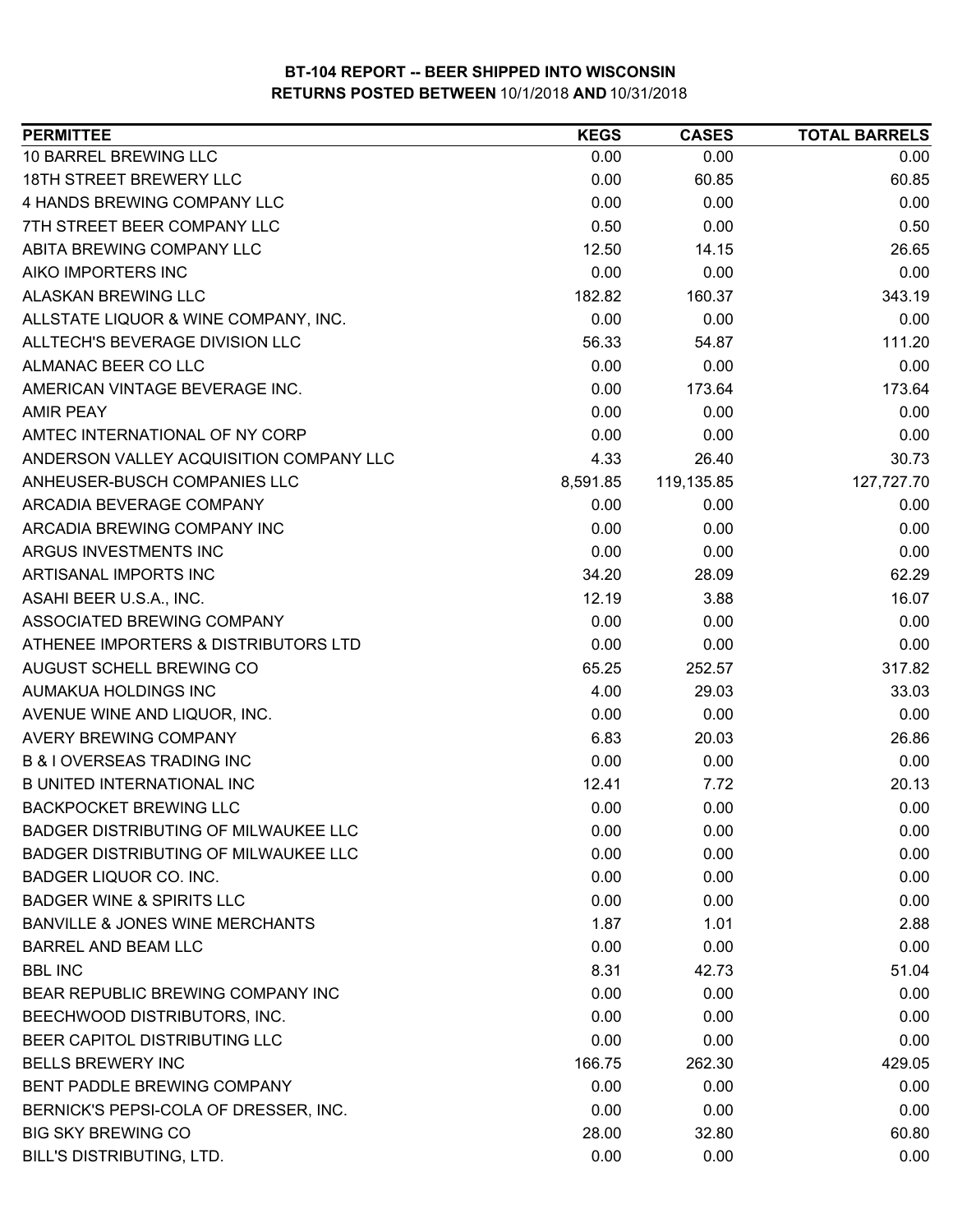| <b>PERMITTEE</b>                            | <b>KEGS</b> | <b>CASES</b> | <b>TOTAL BARRELS</b> |
|---------------------------------------------|-------------|--------------|----------------------|
| 10 BARREL BREWING LLC                       | 0.00        | 0.00         | 0.00                 |
| 18TH STREET BREWERY LLC                     | 0.00        | 60.85        | 60.85                |
| 4 HANDS BREWING COMPANY LLC                 | 0.00        | 0.00         | 0.00                 |
| 7TH STREET BEER COMPANY LLC                 | 0.50        | 0.00         | 0.50                 |
| ABITA BREWING COMPANY LLC                   | 12.50       | 14.15        | 26.65                |
| AIKO IMPORTERS INC                          | 0.00        | 0.00         | 0.00                 |
| ALASKAN BREWING LLC                         | 182.82      | 160.37       | 343.19               |
| ALLSTATE LIQUOR & WINE COMPANY, INC.        | 0.00        | 0.00         | 0.00                 |
| ALLTECH'S BEVERAGE DIVISION LLC             | 56.33       | 54.87        | 111.20               |
| ALMANAC BEER CO LLC                         | 0.00        | 0.00         | 0.00                 |
| AMERICAN VINTAGE BEVERAGE INC.              | 0.00        | 173.64       | 173.64               |
| <b>AMIR PEAY</b>                            | 0.00        | 0.00         | 0.00                 |
| AMTEC INTERNATIONAL OF NY CORP              | 0.00        | 0.00         | 0.00                 |
| ANDERSON VALLEY ACQUISITION COMPANY LLC     | 4.33        | 26.40        | 30.73                |
| ANHEUSER-BUSCH COMPANIES LLC                | 8,591.85    | 119,135.85   | 127,727.70           |
| ARCADIA BEVERAGE COMPANY                    | 0.00        | 0.00         | 0.00                 |
| ARCADIA BREWING COMPANY INC                 | 0.00        | 0.00         | 0.00                 |
| ARGUS INVESTMENTS INC                       | 0.00        | 0.00         | 0.00                 |
| ARTISANAL IMPORTS INC                       | 34.20       | 28.09        | 62.29                |
| ASAHI BEER U.S.A., INC.                     | 12.19       | 3.88         | 16.07                |
| ASSOCIATED BREWING COMPANY                  | 0.00        | 0.00         | 0.00                 |
| ATHENEE IMPORTERS & DISTRIBUTORS LTD        | 0.00        | 0.00         | 0.00                 |
| AUGUST SCHELL BREWING CO                    | 65.25       | 252.57       | 317.82               |
| AUMAKUA HOLDINGS INC                        | 4.00        | 29.03        | 33.03                |
| AVENUE WINE AND LIQUOR, INC.                | 0.00        | 0.00         | 0.00                 |
| AVERY BREWING COMPANY                       | 6.83        | 20.03        | 26.86                |
| <b>B &amp; I OVERSEAS TRADING INC</b>       | 0.00        | 0.00         | 0.00                 |
| <b>B UNITED INTERNATIONAL INC</b>           | 12.41       | 7.72         | 20.13                |
| <b>BACKPOCKET BREWING LLC</b>               | 0.00        | 0.00         | 0.00                 |
| <b>BADGER DISTRIBUTING OF MILWAUKEE LLC</b> | 0.00        | 0.00         | 0.00                 |
| BADGER DISTRIBUTING OF MILWAUKEE LLC        | 0.00        | 0.00         | 0.00                 |
| BADGER LIQUOR CO. INC.                      | 0.00        | 0.00         | 0.00                 |
| <b>BADGER WINE &amp; SPIRITS LLC</b>        | 0.00        | 0.00         | 0.00                 |
| <b>BANVILLE &amp; JONES WINE MERCHANTS</b>  | 1.87        | 1.01         | 2.88                 |
| <b>BARREL AND BEAM LLC</b>                  | 0.00        | 0.00         | 0.00                 |
| <b>BBL INC</b>                              | 8.31        | 42.73        | 51.04                |
| BEAR REPUBLIC BREWING COMPANY INC           | 0.00        | 0.00         | 0.00                 |
| BEECHWOOD DISTRIBUTORS, INC.                | 0.00        | 0.00         | 0.00                 |
| BEER CAPITOL DISTRIBUTING LLC               | 0.00        | 0.00         | 0.00                 |
| <b>BELLS BREWERY INC</b>                    | 166.75      | 262.30       | 429.05               |
| BENT PADDLE BREWING COMPANY                 | 0.00        | 0.00         | 0.00                 |
| BERNICK'S PEPSI-COLA OF DRESSER, INC.       | 0.00        | 0.00         | 0.00                 |
| <b>BIG SKY BREWING CO</b>                   | 28.00       | 32.80        | 60.80                |
| BILL'S DISTRIBUTING, LTD.                   | 0.00        | 0.00         | 0.00                 |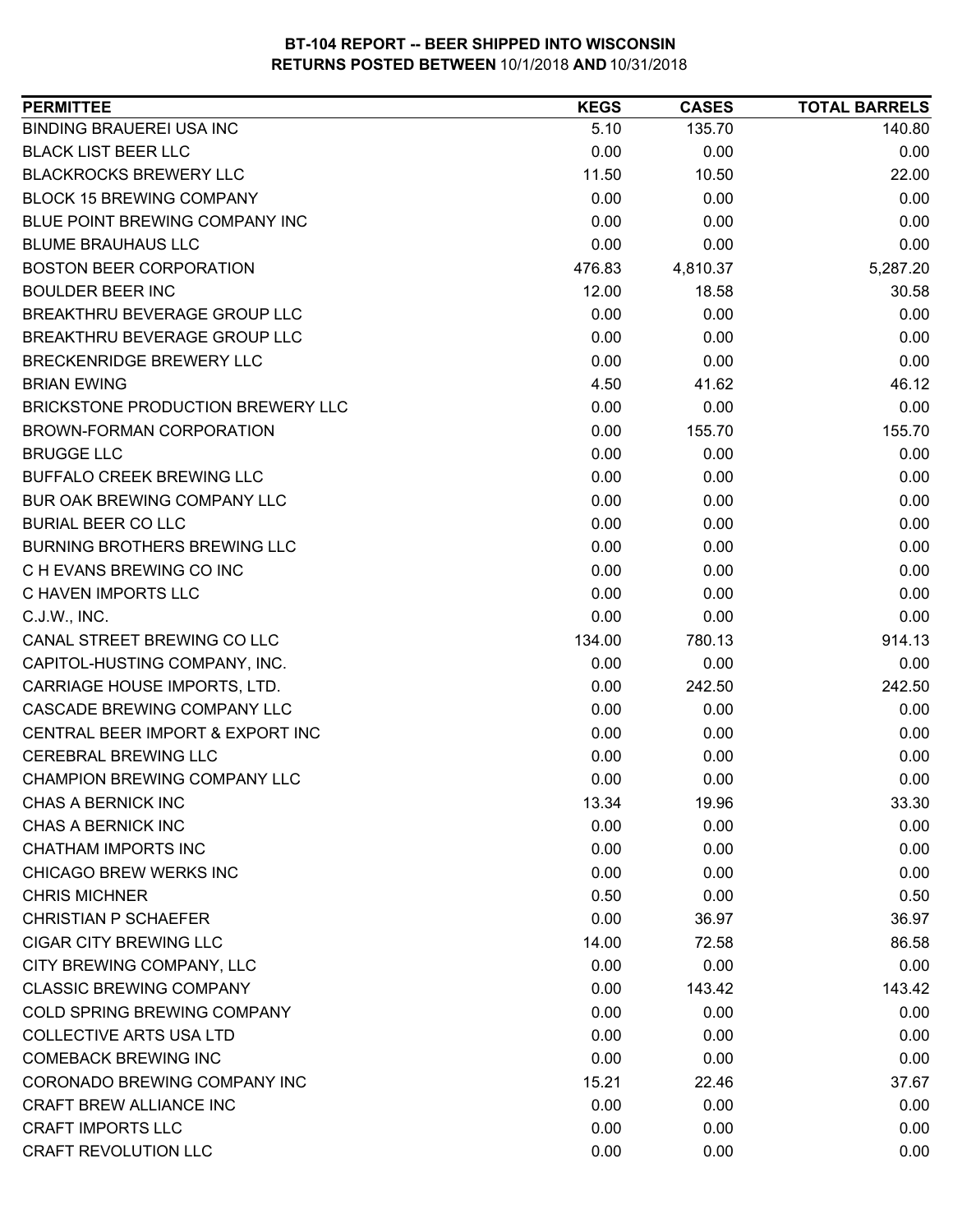| <b>BINDING BRAUEREI USA INC</b><br>5.10<br>135.70<br><b>BLACK LIST BEER LLC</b><br>0.00<br>0.00<br><b>BLACKROCKS BREWERY LLC</b><br>11.50<br>10.50<br><b>BLOCK 15 BREWING COMPANY</b><br>0.00<br>0.00<br>BLUE POINT BREWING COMPANY INC<br>0.00<br>0.00<br><b>BLUME BRAUHAUS LLC</b><br>0.00<br>0.00<br><b>BOSTON BEER CORPORATION</b><br>476.83<br>4,810.37<br><b>BOULDER BEER INC</b><br>12.00<br>18.58<br>BREAKTHRU BEVERAGE GROUP LLC<br>0.00<br>0.00<br>BREAKTHRU BEVERAGE GROUP LLC<br>0.00<br>0.00<br>BRECKENRIDGE BREWERY LLC<br>0.00<br>0.00<br><b>BRIAN EWING</b><br>4.50<br>41.62<br>0.00<br>BRICKSTONE PRODUCTION BREWERY LLC<br>0.00<br>BROWN-FORMAN CORPORATION<br>0.00<br>155.70<br><b>BRUGGE LLC</b><br>0.00<br>0.00<br><b>BUFFALO CREEK BREWING LLC</b><br>0.00<br>0.00<br>0.00<br>BUR OAK BREWING COMPANY LLC<br>0.00<br><b>BURIAL BEER CO LLC</b><br>0.00<br>0.00<br><b>BURNING BROTHERS BREWING LLC</b><br>0.00<br>0.00<br>C H EVANS BREWING CO INC<br>0.00<br>0.00 | <b>PERMITTEE</b> | <b>KEGS</b> | <b>CASES</b> | <b>TOTAL BARRELS</b> |
|-----------------------------------------------------------------------------------------------------------------------------------------------------------------------------------------------------------------------------------------------------------------------------------------------------------------------------------------------------------------------------------------------------------------------------------------------------------------------------------------------------------------------------------------------------------------------------------------------------------------------------------------------------------------------------------------------------------------------------------------------------------------------------------------------------------------------------------------------------------------------------------------------------------------------------------------------------------------------------------------|------------------|-------------|--------------|----------------------|
|                                                                                                                                                                                                                                                                                                                                                                                                                                                                                                                                                                                                                                                                                                                                                                                                                                                                                                                                                                                         |                  |             |              | 140.80               |
|                                                                                                                                                                                                                                                                                                                                                                                                                                                                                                                                                                                                                                                                                                                                                                                                                                                                                                                                                                                         |                  |             |              | 0.00                 |
|                                                                                                                                                                                                                                                                                                                                                                                                                                                                                                                                                                                                                                                                                                                                                                                                                                                                                                                                                                                         |                  |             |              | 22.00                |
|                                                                                                                                                                                                                                                                                                                                                                                                                                                                                                                                                                                                                                                                                                                                                                                                                                                                                                                                                                                         |                  |             |              | 0.00                 |
|                                                                                                                                                                                                                                                                                                                                                                                                                                                                                                                                                                                                                                                                                                                                                                                                                                                                                                                                                                                         |                  |             |              | 0.00                 |
|                                                                                                                                                                                                                                                                                                                                                                                                                                                                                                                                                                                                                                                                                                                                                                                                                                                                                                                                                                                         |                  |             |              | 0.00                 |
|                                                                                                                                                                                                                                                                                                                                                                                                                                                                                                                                                                                                                                                                                                                                                                                                                                                                                                                                                                                         |                  |             |              | 5,287.20             |
|                                                                                                                                                                                                                                                                                                                                                                                                                                                                                                                                                                                                                                                                                                                                                                                                                                                                                                                                                                                         |                  |             |              | 30.58                |
|                                                                                                                                                                                                                                                                                                                                                                                                                                                                                                                                                                                                                                                                                                                                                                                                                                                                                                                                                                                         |                  |             |              | 0.00                 |
|                                                                                                                                                                                                                                                                                                                                                                                                                                                                                                                                                                                                                                                                                                                                                                                                                                                                                                                                                                                         |                  |             |              | 0.00                 |
|                                                                                                                                                                                                                                                                                                                                                                                                                                                                                                                                                                                                                                                                                                                                                                                                                                                                                                                                                                                         |                  |             |              | 0.00                 |
|                                                                                                                                                                                                                                                                                                                                                                                                                                                                                                                                                                                                                                                                                                                                                                                                                                                                                                                                                                                         |                  |             |              | 46.12                |
|                                                                                                                                                                                                                                                                                                                                                                                                                                                                                                                                                                                                                                                                                                                                                                                                                                                                                                                                                                                         |                  |             |              | 0.00                 |
|                                                                                                                                                                                                                                                                                                                                                                                                                                                                                                                                                                                                                                                                                                                                                                                                                                                                                                                                                                                         |                  |             |              | 155.70               |
|                                                                                                                                                                                                                                                                                                                                                                                                                                                                                                                                                                                                                                                                                                                                                                                                                                                                                                                                                                                         |                  |             |              | 0.00                 |
|                                                                                                                                                                                                                                                                                                                                                                                                                                                                                                                                                                                                                                                                                                                                                                                                                                                                                                                                                                                         |                  |             |              | 0.00                 |
|                                                                                                                                                                                                                                                                                                                                                                                                                                                                                                                                                                                                                                                                                                                                                                                                                                                                                                                                                                                         |                  |             |              | 0.00                 |
|                                                                                                                                                                                                                                                                                                                                                                                                                                                                                                                                                                                                                                                                                                                                                                                                                                                                                                                                                                                         |                  |             |              | 0.00                 |
|                                                                                                                                                                                                                                                                                                                                                                                                                                                                                                                                                                                                                                                                                                                                                                                                                                                                                                                                                                                         |                  |             |              | 0.00                 |
|                                                                                                                                                                                                                                                                                                                                                                                                                                                                                                                                                                                                                                                                                                                                                                                                                                                                                                                                                                                         |                  |             |              | 0.00                 |
| C HAVEN IMPORTS LLC<br>0.00<br>0.00                                                                                                                                                                                                                                                                                                                                                                                                                                                                                                                                                                                                                                                                                                                                                                                                                                                                                                                                                     |                  |             |              | 0.00                 |
| 0.00<br>C.J.W., INC.<br>0.00                                                                                                                                                                                                                                                                                                                                                                                                                                                                                                                                                                                                                                                                                                                                                                                                                                                                                                                                                            |                  |             |              | 0.00                 |
| CANAL STREET BREWING CO LLC<br>134.00<br>780.13                                                                                                                                                                                                                                                                                                                                                                                                                                                                                                                                                                                                                                                                                                                                                                                                                                                                                                                                         |                  |             |              | 914.13               |
| CAPITOL-HUSTING COMPANY, INC.<br>0.00<br>0.00                                                                                                                                                                                                                                                                                                                                                                                                                                                                                                                                                                                                                                                                                                                                                                                                                                                                                                                                           |                  |             |              | 0.00                 |
| 0.00<br>242.50<br>CARRIAGE HOUSE IMPORTS, LTD.                                                                                                                                                                                                                                                                                                                                                                                                                                                                                                                                                                                                                                                                                                                                                                                                                                                                                                                                          |                  |             |              | 242.50               |
| CASCADE BREWING COMPANY LLC<br>0.00<br>0.00                                                                                                                                                                                                                                                                                                                                                                                                                                                                                                                                                                                                                                                                                                                                                                                                                                                                                                                                             |                  |             |              | 0.00                 |
| CENTRAL BEER IMPORT & EXPORT INC<br>0.00<br>0.00                                                                                                                                                                                                                                                                                                                                                                                                                                                                                                                                                                                                                                                                                                                                                                                                                                                                                                                                        |                  |             |              | 0.00                 |
| <b>CEREBRAL BREWING LLC</b><br>0.00<br>0.00                                                                                                                                                                                                                                                                                                                                                                                                                                                                                                                                                                                                                                                                                                                                                                                                                                                                                                                                             |                  |             |              | 0.00                 |
| 0.00<br>CHAMPION BREWING COMPANY LLC<br>0.00                                                                                                                                                                                                                                                                                                                                                                                                                                                                                                                                                                                                                                                                                                                                                                                                                                                                                                                                            |                  |             |              | 0.00                 |
| CHAS A BERNICK INC<br>13.34<br>19.96                                                                                                                                                                                                                                                                                                                                                                                                                                                                                                                                                                                                                                                                                                                                                                                                                                                                                                                                                    |                  |             |              | 33.30                |
| 0.00<br>0.00<br>CHAS A BERNICK INC                                                                                                                                                                                                                                                                                                                                                                                                                                                                                                                                                                                                                                                                                                                                                                                                                                                                                                                                                      |                  |             |              | 0.00                 |
| <b>CHATHAM IMPORTS INC</b><br>0.00<br>0.00                                                                                                                                                                                                                                                                                                                                                                                                                                                                                                                                                                                                                                                                                                                                                                                                                                                                                                                                              |                  |             |              | 0.00                 |
| CHICAGO BREW WERKS INC<br>0.00<br>0.00                                                                                                                                                                                                                                                                                                                                                                                                                                                                                                                                                                                                                                                                                                                                                                                                                                                                                                                                                  |                  |             |              | 0.00                 |
| <b>CHRIS MICHNER</b><br>0.50<br>0.00                                                                                                                                                                                                                                                                                                                                                                                                                                                                                                                                                                                                                                                                                                                                                                                                                                                                                                                                                    |                  |             |              | 0.50                 |
| <b>CHRISTIAN P SCHAEFER</b><br>0.00<br>36.97                                                                                                                                                                                                                                                                                                                                                                                                                                                                                                                                                                                                                                                                                                                                                                                                                                                                                                                                            |                  |             |              | 36.97                |
| <b>CIGAR CITY BREWING LLC</b><br>14.00<br>72.58                                                                                                                                                                                                                                                                                                                                                                                                                                                                                                                                                                                                                                                                                                                                                                                                                                                                                                                                         |                  |             |              | 86.58                |
| CITY BREWING COMPANY, LLC<br>0.00<br>0.00                                                                                                                                                                                                                                                                                                                                                                                                                                                                                                                                                                                                                                                                                                                                                                                                                                                                                                                                               |                  |             |              | 0.00                 |
| <b>CLASSIC BREWING COMPANY</b><br>0.00<br>143.42                                                                                                                                                                                                                                                                                                                                                                                                                                                                                                                                                                                                                                                                                                                                                                                                                                                                                                                                        |                  |             |              | 143.42               |
| COLD SPRING BREWING COMPANY<br>0.00<br>0.00                                                                                                                                                                                                                                                                                                                                                                                                                                                                                                                                                                                                                                                                                                                                                                                                                                                                                                                                             |                  |             |              | 0.00                 |
| <b>COLLECTIVE ARTS USA LTD</b><br>0.00<br>0.00                                                                                                                                                                                                                                                                                                                                                                                                                                                                                                                                                                                                                                                                                                                                                                                                                                                                                                                                          |                  |             |              | 0.00                 |
| <b>COMEBACK BREWING INC</b><br>0.00<br>0.00                                                                                                                                                                                                                                                                                                                                                                                                                                                                                                                                                                                                                                                                                                                                                                                                                                                                                                                                             |                  |             |              | 0.00                 |
| CORONADO BREWING COMPANY INC<br>15.21<br>22.46                                                                                                                                                                                                                                                                                                                                                                                                                                                                                                                                                                                                                                                                                                                                                                                                                                                                                                                                          |                  |             |              | 37.67                |
| CRAFT BREW ALLIANCE INC<br>0.00<br>0.00                                                                                                                                                                                                                                                                                                                                                                                                                                                                                                                                                                                                                                                                                                                                                                                                                                                                                                                                                 |                  |             |              | 0.00                 |
| <b>CRAFT IMPORTS LLC</b><br>0.00<br>0.00                                                                                                                                                                                                                                                                                                                                                                                                                                                                                                                                                                                                                                                                                                                                                                                                                                                                                                                                                |                  |             |              | 0.00                 |
| <b>CRAFT REVOLUTION LLC</b><br>0.00<br>0.00                                                                                                                                                                                                                                                                                                                                                                                                                                                                                                                                                                                                                                                                                                                                                                                                                                                                                                                                             |                  |             |              | 0.00                 |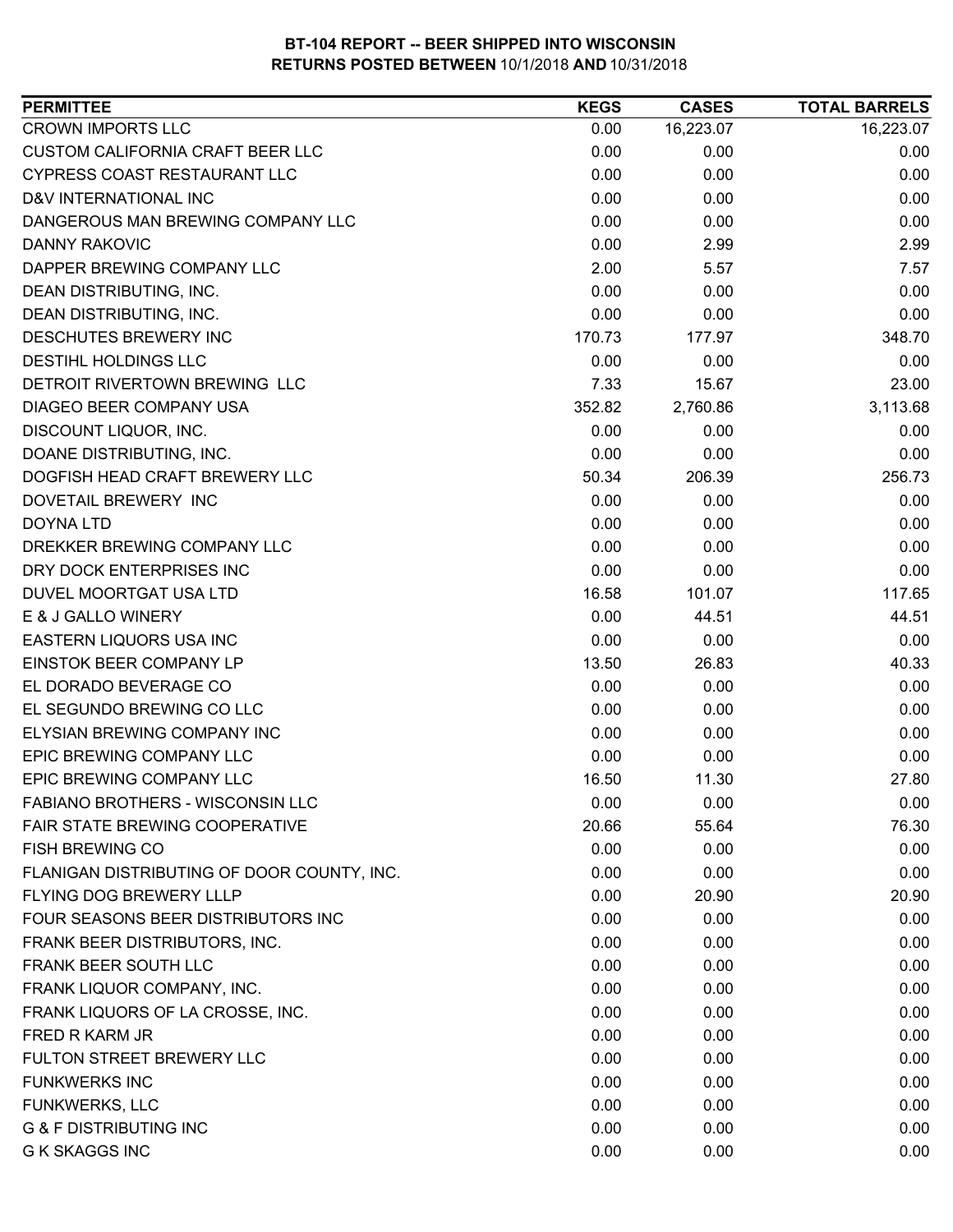| <b>PERMITTEE</b>                           | <b>KEGS</b> | <b>CASES</b> | <b>TOTAL BARRELS</b> |
|--------------------------------------------|-------------|--------------|----------------------|
| <b>CROWN IMPORTS LLC</b>                   | 0.00        | 16,223.07    | 16,223.07            |
| <b>CUSTOM CALIFORNIA CRAFT BEER LLC</b>    | 0.00        | 0.00         | 0.00                 |
| <b>CYPRESS COAST RESTAURANT LLC</b>        | 0.00        | 0.00         | 0.00                 |
| D&V INTERNATIONAL INC                      | 0.00        | 0.00         | 0.00                 |
| DANGEROUS MAN BREWING COMPANY LLC          | 0.00        | 0.00         | 0.00                 |
| <b>DANNY RAKOVIC</b>                       | 0.00        | 2.99         | 2.99                 |
| DAPPER BREWING COMPANY LLC                 | 2.00        | 5.57         | 7.57                 |
| DEAN DISTRIBUTING, INC.                    | 0.00        | 0.00         | 0.00                 |
| DEAN DISTRIBUTING, INC.                    | 0.00        | 0.00         | 0.00                 |
| DESCHUTES BREWERY INC                      | 170.73      | 177.97       | 348.70               |
| DESTIHL HOLDINGS LLC                       | 0.00        | 0.00         | 0.00                 |
| DETROIT RIVERTOWN BREWING LLC              | 7.33        | 15.67        | 23.00                |
| DIAGEO BEER COMPANY USA                    | 352.82      | 2,760.86     | 3,113.68             |
| DISCOUNT LIQUOR, INC.                      | 0.00        | 0.00         | 0.00                 |
| DOANE DISTRIBUTING, INC.                   | 0.00        | 0.00         | 0.00                 |
| DOGFISH HEAD CRAFT BREWERY LLC             | 50.34       | 206.39       | 256.73               |
| DOVETAIL BREWERY INC                       | 0.00        | 0.00         | 0.00                 |
| DOYNA LTD                                  | 0.00        | 0.00         | 0.00                 |
| DREKKER BREWING COMPANY LLC                | 0.00        | 0.00         | 0.00                 |
| DRY DOCK ENTERPRISES INC                   | 0.00        | 0.00         | 0.00                 |
| DUVEL MOORTGAT USA LTD                     | 16.58       | 101.07       | 117.65               |
| E & J GALLO WINERY                         | 0.00        | 44.51        | 44.51                |
| EASTERN LIQUORS USA INC                    | 0.00        | 0.00         | 0.00                 |
| EINSTOK BEER COMPANY LP                    | 13.50       | 26.83        | 40.33                |
| EL DORADO BEVERAGE CO                      | 0.00        | 0.00         | 0.00                 |
| EL SEGUNDO BREWING CO LLC                  | 0.00        | 0.00         | 0.00                 |
| ELYSIAN BREWING COMPANY INC                | 0.00        | 0.00         | 0.00                 |
| EPIC BREWING COMPANY LLC                   | 0.00        | 0.00         | 0.00                 |
| <b>EPIC BREWING COMPANY LLC</b>            | 16.50       | 11.30        | 27.80                |
| <b>FABIANO BROTHERS - WISCONSIN LLC</b>    | 0.00        | 0.00         | 0.00                 |
| FAIR STATE BREWING COOPERATIVE             | 20.66       | 55.64        | 76.30                |
| <b>FISH BREWING CO</b>                     | 0.00        | 0.00         | 0.00                 |
| FLANIGAN DISTRIBUTING OF DOOR COUNTY, INC. | 0.00        | 0.00         | 0.00                 |
| FLYING DOG BREWERY LLLP                    | 0.00        | 20.90        | 20.90                |
| FOUR SEASONS BEER DISTRIBUTORS INC         | 0.00        | 0.00         | 0.00                 |
| FRANK BEER DISTRIBUTORS, INC.              | 0.00        | 0.00         | 0.00                 |
| FRANK BEER SOUTH LLC                       | 0.00        | 0.00         | 0.00                 |
| FRANK LIQUOR COMPANY, INC.                 | 0.00        | 0.00         | 0.00                 |
| FRANK LIQUORS OF LA CROSSE, INC.           | 0.00        | 0.00         | 0.00                 |
| FRED R KARM JR                             | 0.00        | 0.00         | 0.00                 |
| FULTON STREET BREWERY LLC                  | 0.00        | 0.00         | 0.00                 |
| <b>FUNKWERKS INC</b>                       | 0.00        | 0.00         | 0.00                 |
| <b>FUNKWERKS, LLC</b>                      | 0.00        | 0.00         | 0.00                 |
| <b>G &amp; F DISTRIBUTING INC</b>          | 0.00        | 0.00         | 0.00                 |
| <b>G K SKAGGS INC</b>                      | 0.00        | 0.00         | 0.00                 |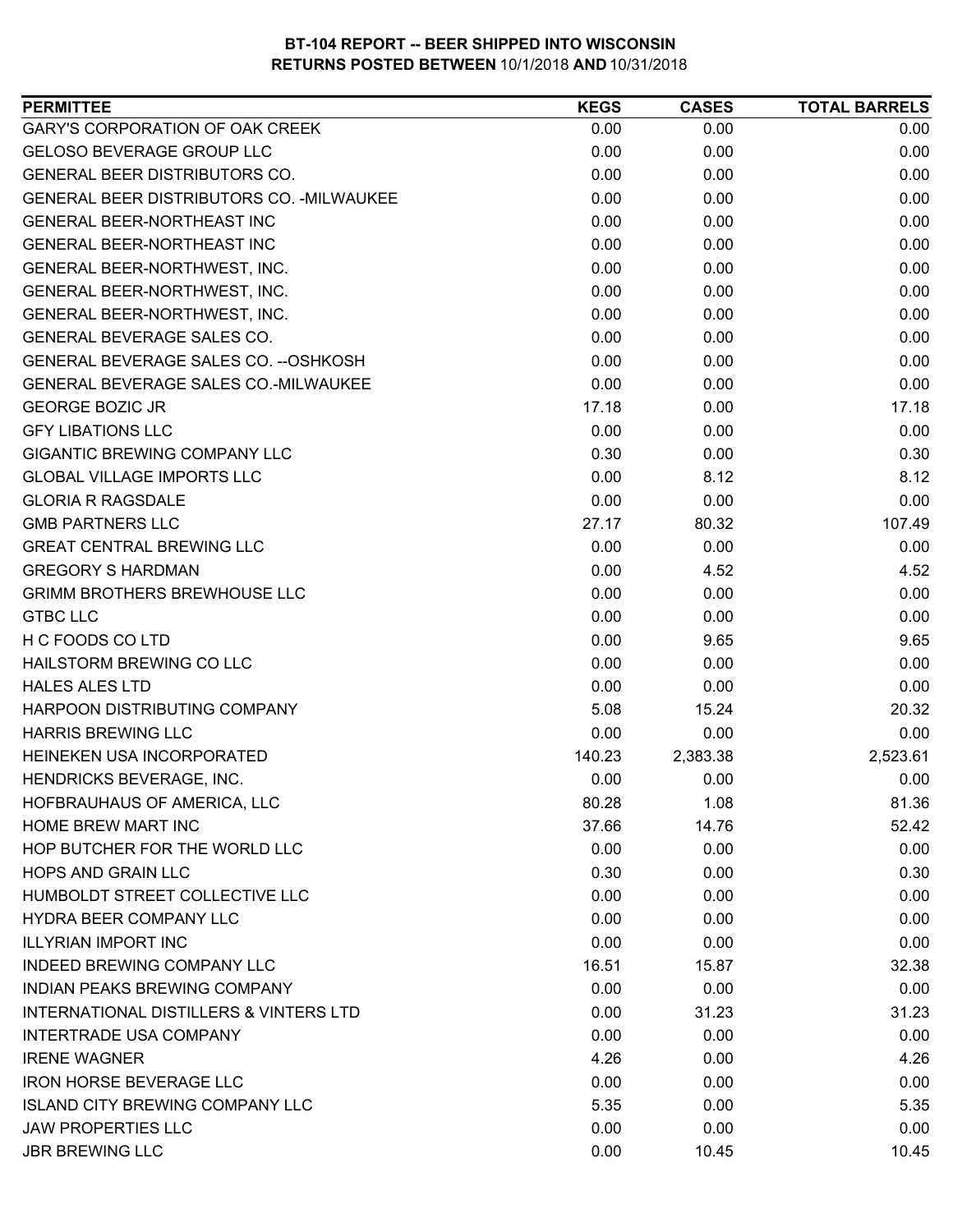| <b>PERMITTEE</b>                                  | <b>KEGS</b> | <b>CASES</b> | <b>TOTAL BARRELS</b> |
|---------------------------------------------------|-------------|--------------|----------------------|
| <b>GARY'S CORPORATION OF OAK CREEK</b>            | 0.00        | 0.00         | 0.00                 |
| <b>GELOSO BEVERAGE GROUP LLC</b>                  | 0.00        | 0.00         | 0.00                 |
| GENERAL BEER DISTRIBUTORS CO.                     | 0.00        | 0.00         | 0.00                 |
| GENERAL BEER DISTRIBUTORS CO. - MILWAUKEE         | 0.00        | 0.00         | 0.00                 |
| <b>GENERAL BEER-NORTHEAST INC</b>                 | 0.00        | 0.00         | 0.00                 |
| <b>GENERAL BEER-NORTHEAST INC</b>                 | 0.00        | 0.00         | 0.00                 |
| GENERAL BEER-NORTHWEST, INC.                      | 0.00        | 0.00         | 0.00                 |
| GENERAL BEER-NORTHWEST, INC.                      | 0.00        | 0.00         | 0.00                 |
| GENERAL BEER-NORTHWEST, INC.                      | 0.00        | 0.00         | 0.00                 |
| GENERAL BEVERAGE SALES CO.                        | 0.00        | 0.00         | 0.00                 |
| GENERAL BEVERAGE SALES CO. -- OSHKOSH             | 0.00        | 0.00         | 0.00                 |
| GENERAL BEVERAGE SALES CO.-MILWAUKEE              | 0.00        | 0.00         | 0.00                 |
| <b>GEORGE BOZIC JR</b>                            | 17.18       | 0.00         | 17.18                |
| <b>GFY LIBATIONS LLC</b>                          | 0.00        | 0.00         | 0.00                 |
| <b>GIGANTIC BREWING COMPANY LLC</b>               | 0.30        | 0.00         | 0.30                 |
| <b>GLOBAL VILLAGE IMPORTS LLC</b>                 | 0.00        | 8.12         | 8.12                 |
| <b>GLORIA R RAGSDALE</b>                          | 0.00        | 0.00         | 0.00                 |
| <b>GMB PARTNERS LLC</b>                           | 27.17       | 80.32        | 107.49               |
| <b>GREAT CENTRAL BREWING LLC</b>                  | 0.00        | 0.00         | 0.00                 |
| <b>GREGORY S HARDMAN</b>                          | 0.00        | 4.52         | 4.52                 |
| <b>GRIMM BROTHERS BREWHOUSE LLC</b>               | 0.00        | 0.00         | 0.00                 |
| <b>GTBC LLC</b>                                   | 0.00        | 0.00         | 0.00                 |
| H C FOODS CO LTD                                  | 0.00        | 9.65         | 9.65                 |
| HAILSTORM BREWING CO LLC                          | 0.00        | 0.00         | 0.00                 |
| <b>HALES ALES LTD</b>                             | 0.00        | 0.00         | 0.00                 |
| HARPOON DISTRIBUTING COMPANY                      | 5.08        | 15.24        | 20.32                |
| <b>HARRIS BREWING LLC</b>                         | 0.00        | 0.00         | 0.00                 |
| HEINEKEN USA INCORPORATED                         | 140.23      | 2,383.38     | 2,523.61             |
| HENDRICKS BEVERAGE, INC.                          | 0.00        | 0.00         | 0.00                 |
| HOFBRAUHAUS OF AMERICA, LLC                       | 80.28       | 1.08         | 81.36                |
| <b>HOME BREW MART INC</b>                         | 37.66       | 14.76        | 52.42                |
| HOP BUTCHER FOR THE WORLD LLC                     | 0.00        | 0.00         | 0.00                 |
| <b>HOPS AND GRAIN LLC</b>                         | 0.30        | 0.00         | 0.30                 |
| HUMBOLDT STREET COLLECTIVE LLC                    | 0.00        | 0.00         | 0.00                 |
| HYDRA BEER COMPANY LLC                            | 0.00        | 0.00         | 0.00                 |
| <b>ILLYRIAN IMPORT INC</b>                        | 0.00        | 0.00         | 0.00                 |
| INDEED BREWING COMPANY LLC                        | 16.51       | 15.87        | 32.38                |
| INDIAN PEAKS BREWING COMPANY                      | 0.00        | 0.00         | 0.00                 |
| <b>INTERNATIONAL DISTILLERS &amp; VINTERS LTD</b> | 0.00        | 31.23        | 31.23                |
| <b>INTERTRADE USA COMPANY</b>                     | 0.00        | 0.00         | 0.00                 |
| <b>IRENE WAGNER</b>                               | 4.26        | 0.00         | 4.26                 |
| <b>IRON HORSE BEVERAGE LLC</b>                    | 0.00        | 0.00         | 0.00                 |
| <b>ISLAND CITY BREWING COMPANY LLC</b>            | 5.35        | 0.00         | 5.35                 |
| <b>JAW PROPERTIES LLC</b>                         | 0.00        | 0.00         | 0.00                 |
| <b>JBR BREWING LLC</b>                            | 0.00        | 10.45        | 10.45                |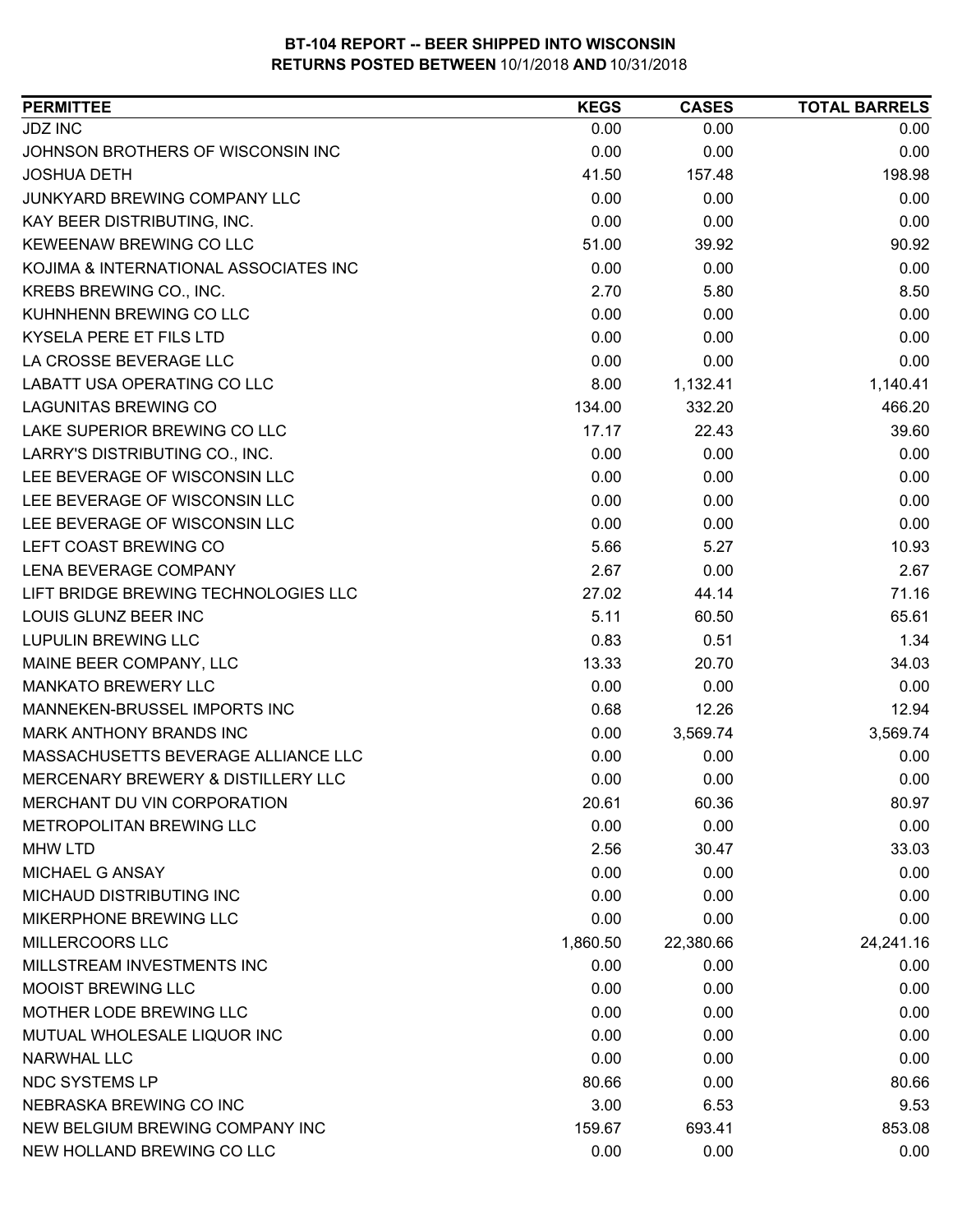| <b>PERMITTEE</b>                      | <b>KEGS</b> | <b>CASES</b> | <b>TOTAL BARRELS</b> |
|---------------------------------------|-------------|--------------|----------------------|
| <b>JDZ INC</b>                        | 0.00        | 0.00         | 0.00                 |
| JOHNSON BROTHERS OF WISCONSIN INC     | 0.00        | 0.00         | 0.00                 |
| <b>JOSHUA DETH</b>                    | 41.50       | 157.48       | 198.98               |
| JUNKYARD BREWING COMPANY LLC          | 0.00        | 0.00         | 0.00                 |
| KAY BEER DISTRIBUTING, INC.           | 0.00        | 0.00         | 0.00                 |
| KEWEENAW BREWING CO LLC               | 51.00       | 39.92        | 90.92                |
| KOJIMA & INTERNATIONAL ASSOCIATES INC | 0.00        | 0.00         | 0.00                 |
| KREBS BREWING CO., INC.               | 2.70        | 5.80         | 8.50                 |
| KUHNHENN BREWING CO LLC               | 0.00        | 0.00         | 0.00                 |
| KYSELA PERE ET FILS LTD               | 0.00        | 0.00         | 0.00                 |
| LA CROSSE BEVERAGE LLC                | 0.00        | 0.00         | 0.00                 |
| LABATT USA OPERATING CO LLC           | 8.00        | 1,132.41     | 1,140.41             |
| <b>LAGUNITAS BREWING CO</b>           | 134.00      | 332.20       | 466.20               |
| LAKE SUPERIOR BREWING CO LLC          | 17.17       | 22.43        | 39.60                |
| LARRY'S DISTRIBUTING CO., INC.        | 0.00        | 0.00         | 0.00                 |
| LEE BEVERAGE OF WISCONSIN LLC         | 0.00        | 0.00         | 0.00                 |
| LEE BEVERAGE OF WISCONSIN LLC         | 0.00        | 0.00         | 0.00                 |
| LEE BEVERAGE OF WISCONSIN LLC         | 0.00        | 0.00         | 0.00                 |
| LEFT COAST BREWING CO                 | 5.66        | 5.27         | 10.93                |
| LENA BEVERAGE COMPANY                 | 2.67        | 0.00         | 2.67                 |
| LIFT BRIDGE BREWING TECHNOLOGIES LLC  | 27.02       | 44.14        | 71.16                |
| LOUIS GLUNZ BEER INC                  | 5.11        | 60.50        | 65.61                |
| <b>LUPULIN BREWING LLC</b>            | 0.83        | 0.51         | 1.34                 |
| MAINE BEER COMPANY, LLC               | 13.33       | 20.70        | 34.03                |
| <b>MANKATO BREWERY LLC</b>            | 0.00        | 0.00         | 0.00                 |
| MANNEKEN-BRUSSEL IMPORTS INC          | 0.68        | 12.26        | 12.94                |
| MARK ANTHONY BRANDS INC               | 0.00        | 3,569.74     | 3,569.74             |
| MASSACHUSETTS BEVERAGE ALLIANCE LLC   | 0.00        | 0.00         | 0.00                 |
| MERCENARY BREWERY & DISTILLERY LLC    | 0.00        | 0.00         | 0.00                 |
| MERCHANT DU VIN CORPORATION           | 20.61       | 60.36        | 80.97                |
| METROPOLITAN BREWING LLC              | 0.00        | 0.00         | 0.00                 |
| <b>MHW LTD</b>                        | 2.56        | 30.47        | 33.03                |
| MICHAEL G ANSAY                       | 0.00        | 0.00         | 0.00                 |
| MICHAUD DISTRIBUTING INC              | 0.00        | 0.00         | 0.00                 |
| MIKERPHONE BREWING LLC                | 0.00        | 0.00         | 0.00                 |
| <b>MILLERCOORS LLC</b>                | 1,860.50    | 22,380.66    | 24,241.16            |
| MILLSTREAM INVESTMENTS INC            | 0.00        | 0.00         | 0.00                 |
| MOOIST BREWING LLC                    | 0.00        | 0.00         | 0.00                 |
| MOTHER LODE BREWING LLC               | 0.00        | 0.00         | 0.00                 |
| MUTUAL WHOLESALE LIQUOR INC           | 0.00        | 0.00         | 0.00                 |
| <b>NARWHAL LLC</b>                    | 0.00        | 0.00         | 0.00                 |
| <b>NDC SYSTEMS LP</b>                 | 80.66       | 0.00         | 80.66                |
| NEBRASKA BREWING CO INC               | 3.00        | 6.53         | 9.53                 |
| NEW BELGIUM BREWING COMPANY INC       | 159.67      | 693.41       | 853.08               |
| NEW HOLLAND BREWING CO LLC            | 0.00        | 0.00         | 0.00                 |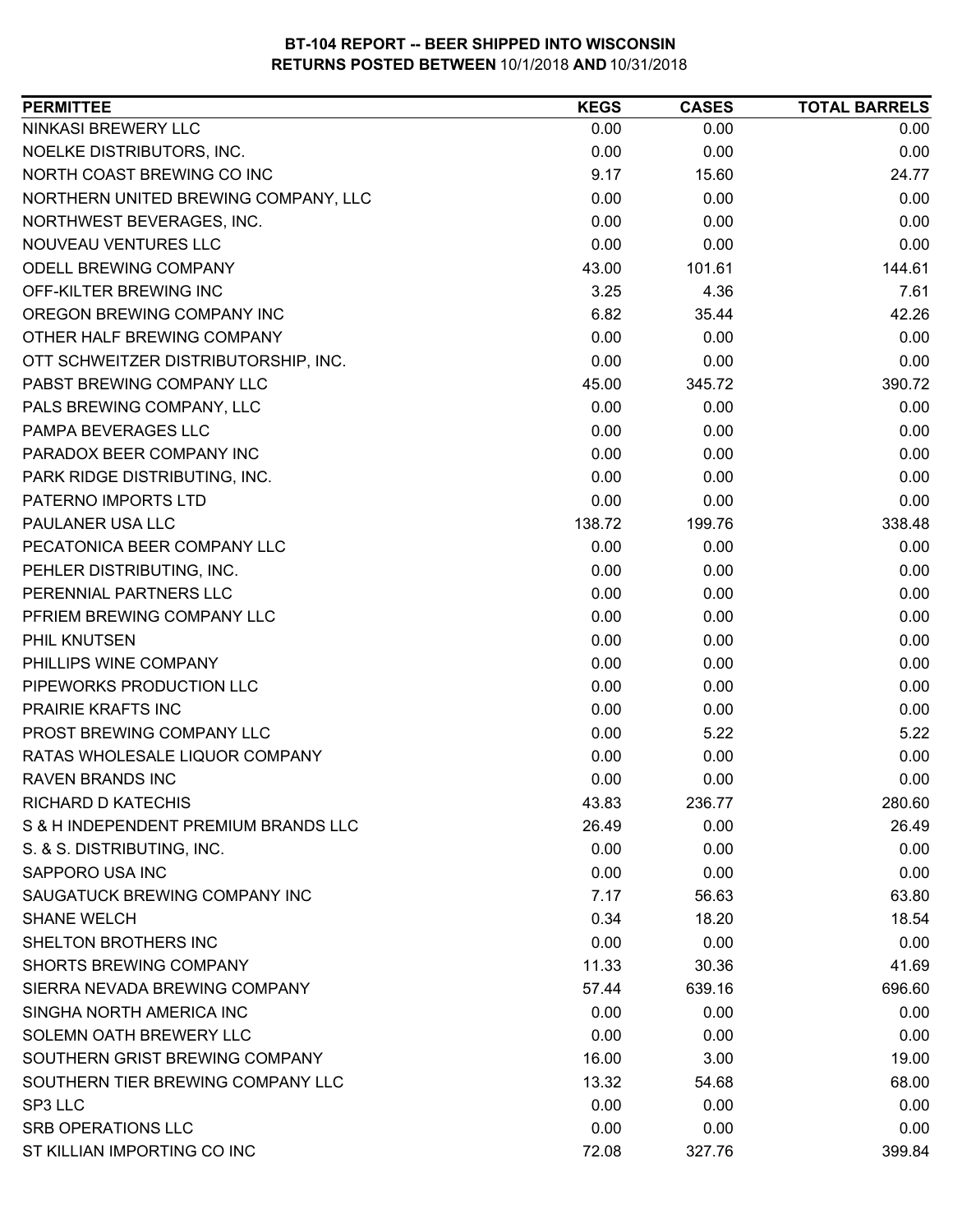| NINKASI BREWERY LLC<br>0.00<br>0.00<br>0.00<br>NOELKE DISTRIBUTORS, INC.<br>0.00<br>0.00<br>0.00<br>NORTH COAST BREWING CO INC<br>9.17<br>24.77<br>15.60<br>NORTHERN UNITED BREWING COMPANY, LLC<br>0.00<br>0.00<br>0.00<br>0.00<br>0.00<br>0.00<br>NORTHWEST BEVERAGES, INC.<br>NOUVEAU VENTURES LLC<br>0.00<br>0.00<br>0.00<br>ODELL BREWING COMPANY<br>144.61<br>43.00<br>101.61<br>7.61<br>OFF-KILTER BREWING INC<br>3.25<br>4.36<br>6.82<br>OREGON BREWING COMPANY INC<br>35.44<br>42.26<br>OTHER HALF BREWING COMPANY<br>0.00<br>0.00<br>0.00<br>0.00<br>0.00<br>0.00<br>OTT SCHWEITZER DISTRIBUTORSHIP, INC.<br>PABST BREWING COMPANY LLC<br>45.00<br>345.72<br>390.72<br>0.00<br>PALS BREWING COMPANY, LLC<br>0.00<br>0.00<br>PAMPA BEVERAGES LLC<br>0.00<br>0.00<br>0.00<br>0.00<br>PARADOX BEER COMPANY INC<br>0.00<br>0.00<br>PARK RIDGE DISTRIBUTING, INC.<br>0.00<br>0.00<br>0.00<br>0.00<br>PATERNO IMPORTS LTD<br>0.00<br>0.00<br>PAULANER USA LLC<br>138.72<br>338.48<br>199.76<br>PECATONICA BEER COMPANY LLC<br>0.00<br>0.00<br>0.00<br>PEHLER DISTRIBUTING, INC.<br>0.00<br>0.00<br>0.00<br>0.00<br>PERENNIAL PARTNERS LLC<br>0.00<br>0.00<br>PFRIEM BREWING COMPANY LLC<br>0.00<br>0.00<br>0.00<br>PHIL KNUTSEN<br>0.00<br>0.00<br>0.00<br>PHILLIPS WINE COMPANY<br>0.00<br>0.00<br>0.00<br>PIPEWORKS PRODUCTION LLC<br>0.00<br>0.00<br>0.00<br>PRAIRIE KRAFTS INC<br>0.00<br>0.00<br>0.00<br>PROST BREWING COMPANY LLC<br>0.00<br>5.22<br>5.22<br>RATAS WHOLESALE LIQUOR COMPANY<br>0.00<br>0.00<br>0.00<br>0.00<br>0.00<br>0.00<br><b>RAVEN BRANDS INC</b><br>43.83<br>236.77<br>280.60<br>RICHARD D KATECHIS<br>S & H INDEPENDENT PREMIUM BRANDS LLC<br>26.49<br>26.49<br>0.00<br>S. & S. DISTRIBUTING, INC.<br>0.00<br>0.00<br>0.00<br>0.00<br>0.00<br>SAPPORO USA INC<br>0.00<br>SAUGATUCK BREWING COMPANY INC<br>7.17<br>63.80<br>56.63<br>0.34<br><b>SHANE WELCH</b><br>18.20<br>18.54<br>SHELTON BROTHERS INC<br>0.00<br>0.00<br>0.00<br>SHORTS BREWING COMPANY<br>11.33<br>30.36<br>41.69<br>SIERRA NEVADA BREWING COMPANY<br>639.16<br>696.60<br>57.44<br>SINGHA NORTH AMERICA INC<br>0.00<br>0.00<br>0.00<br>SOLEMN OATH BREWERY LLC<br>0.00<br>0.00<br>0.00<br>SOUTHERN GRIST BREWING COMPANY<br>16.00<br>3.00<br>19.00<br>SOUTHERN TIER BREWING COMPANY LLC<br>13.32<br>68.00<br>54.68<br>0.00<br>SP3 LLC<br>0.00<br>0.00<br>SRB OPERATIONS LLC<br>0.00<br>0.00<br>0.00<br>ST KILLIAN IMPORTING CO INC<br>399.84<br>72.08<br>327.76 | <b>PERMITTEE</b> | <b>KEGS</b> | <b>CASES</b> | <b>TOTAL BARRELS</b> |
|----------------------------------------------------------------------------------------------------------------------------------------------------------------------------------------------------------------------------------------------------------------------------------------------------------------------------------------------------------------------------------------------------------------------------------------------------------------------------------------------------------------------------------------------------------------------------------------------------------------------------------------------------------------------------------------------------------------------------------------------------------------------------------------------------------------------------------------------------------------------------------------------------------------------------------------------------------------------------------------------------------------------------------------------------------------------------------------------------------------------------------------------------------------------------------------------------------------------------------------------------------------------------------------------------------------------------------------------------------------------------------------------------------------------------------------------------------------------------------------------------------------------------------------------------------------------------------------------------------------------------------------------------------------------------------------------------------------------------------------------------------------------------------------------------------------------------------------------------------------------------------------------------------------------------------------------------------------------------------------------------------------------------------------------------------------------------------------------------------------------------------------------------------------------------------------------------------------------------------------------------------------------------------------------------------------------------------------------------------------------------------------------------------------------------------------------------------------------|------------------|-------------|--------------|----------------------|
|                                                                                                                                                                                                                                                                                                                                                                                                                                                                                                                                                                                                                                                                                                                                                                                                                                                                                                                                                                                                                                                                                                                                                                                                                                                                                                                                                                                                                                                                                                                                                                                                                                                                                                                                                                                                                                                                                                                                                                                                                                                                                                                                                                                                                                                                                                                                                                                                                                                                      |                  |             |              |                      |
|                                                                                                                                                                                                                                                                                                                                                                                                                                                                                                                                                                                                                                                                                                                                                                                                                                                                                                                                                                                                                                                                                                                                                                                                                                                                                                                                                                                                                                                                                                                                                                                                                                                                                                                                                                                                                                                                                                                                                                                                                                                                                                                                                                                                                                                                                                                                                                                                                                                                      |                  |             |              |                      |
|                                                                                                                                                                                                                                                                                                                                                                                                                                                                                                                                                                                                                                                                                                                                                                                                                                                                                                                                                                                                                                                                                                                                                                                                                                                                                                                                                                                                                                                                                                                                                                                                                                                                                                                                                                                                                                                                                                                                                                                                                                                                                                                                                                                                                                                                                                                                                                                                                                                                      |                  |             |              |                      |
|                                                                                                                                                                                                                                                                                                                                                                                                                                                                                                                                                                                                                                                                                                                                                                                                                                                                                                                                                                                                                                                                                                                                                                                                                                                                                                                                                                                                                                                                                                                                                                                                                                                                                                                                                                                                                                                                                                                                                                                                                                                                                                                                                                                                                                                                                                                                                                                                                                                                      |                  |             |              |                      |
|                                                                                                                                                                                                                                                                                                                                                                                                                                                                                                                                                                                                                                                                                                                                                                                                                                                                                                                                                                                                                                                                                                                                                                                                                                                                                                                                                                                                                                                                                                                                                                                                                                                                                                                                                                                                                                                                                                                                                                                                                                                                                                                                                                                                                                                                                                                                                                                                                                                                      |                  |             |              |                      |
|                                                                                                                                                                                                                                                                                                                                                                                                                                                                                                                                                                                                                                                                                                                                                                                                                                                                                                                                                                                                                                                                                                                                                                                                                                                                                                                                                                                                                                                                                                                                                                                                                                                                                                                                                                                                                                                                                                                                                                                                                                                                                                                                                                                                                                                                                                                                                                                                                                                                      |                  |             |              |                      |
|                                                                                                                                                                                                                                                                                                                                                                                                                                                                                                                                                                                                                                                                                                                                                                                                                                                                                                                                                                                                                                                                                                                                                                                                                                                                                                                                                                                                                                                                                                                                                                                                                                                                                                                                                                                                                                                                                                                                                                                                                                                                                                                                                                                                                                                                                                                                                                                                                                                                      |                  |             |              |                      |
|                                                                                                                                                                                                                                                                                                                                                                                                                                                                                                                                                                                                                                                                                                                                                                                                                                                                                                                                                                                                                                                                                                                                                                                                                                                                                                                                                                                                                                                                                                                                                                                                                                                                                                                                                                                                                                                                                                                                                                                                                                                                                                                                                                                                                                                                                                                                                                                                                                                                      |                  |             |              |                      |
|                                                                                                                                                                                                                                                                                                                                                                                                                                                                                                                                                                                                                                                                                                                                                                                                                                                                                                                                                                                                                                                                                                                                                                                                                                                                                                                                                                                                                                                                                                                                                                                                                                                                                                                                                                                                                                                                                                                                                                                                                                                                                                                                                                                                                                                                                                                                                                                                                                                                      |                  |             |              |                      |
|                                                                                                                                                                                                                                                                                                                                                                                                                                                                                                                                                                                                                                                                                                                                                                                                                                                                                                                                                                                                                                                                                                                                                                                                                                                                                                                                                                                                                                                                                                                                                                                                                                                                                                                                                                                                                                                                                                                                                                                                                                                                                                                                                                                                                                                                                                                                                                                                                                                                      |                  |             |              |                      |
|                                                                                                                                                                                                                                                                                                                                                                                                                                                                                                                                                                                                                                                                                                                                                                                                                                                                                                                                                                                                                                                                                                                                                                                                                                                                                                                                                                                                                                                                                                                                                                                                                                                                                                                                                                                                                                                                                                                                                                                                                                                                                                                                                                                                                                                                                                                                                                                                                                                                      |                  |             |              |                      |
|                                                                                                                                                                                                                                                                                                                                                                                                                                                                                                                                                                                                                                                                                                                                                                                                                                                                                                                                                                                                                                                                                                                                                                                                                                                                                                                                                                                                                                                                                                                                                                                                                                                                                                                                                                                                                                                                                                                                                                                                                                                                                                                                                                                                                                                                                                                                                                                                                                                                      |                  |             |              |                      |
|                                                                                                                                                                                                                                                                                                                                                                                                                                                                                                                                                                                                                                                                                                                                                                                                                                                                                                                                                                                                                                                                                                                                                                                                                                                                                                                                                                                                                                                                                                                                                                                                                                                                                                                                                                                                                                                                                                                                                                                                                                                                                                                                                                                                                                                                                                                                                                                                                                                                      |                  |             |              |                      |
|                                                                                                                                                                                                                                                                                                                                                                                                                                                                                                                                                                                                                                                                                                                                                                                                                                                                                                                                                                                                                                                                                                                                                                                                                                                                                                                                                                                                                                                                                                                                                                                                                                                                                                                                                                                                                                                                                                                                                                                                                                                                                                                                                                                                                                                                                                                                                                                                                                                                      |                  |             |              |                      |
|                                                                                                                                                                                                                                                                                                                                                                                                                                                                                                                                                                                                                                                                                                                                                                                                                                                                                                                                                                                                                                                                                                                                                                                                                                                                                                                                                                                                                                                                                                                                                                                                                                                                                                                                                                                                                                                                                                                                                                                                                                                                                                                                                                                                                                                                                                                                                                                                                                                                      |                  |             |              |                      |
|                                                                                                                                                                                                                                                                                                                                                                                                                                                                                                                                                                                                                                                                                                                                                                                                                                                                                                                                                                                                                                                                                                                                                                                                                                                                                                                                                                                                                                                                                                                                                                                                                                                                                                                                                                                                                                                                                                                                                                                                                                                                                                                                                                                                                                                                                                                                                                                                                                                                      |                  |             |              |                      |
|                                                                                                                                                                                                                                                                                                                                                                                                                                                                                                                                                                                                                                                                                                                                                                                                                                                                                                                                                                                                                                                                                                                                                                                                                                                                                                                                                                                                                                                                                                                                                                                                                                                                                                                                                                                                                                                                                                                                                                                                                                                                                                                                                                                                                                                                                                                                                                                                                                                                      |                  |             |              |                      |
|                                                                                                                                                                                                                                                                                                                                                                                                                                                                                                                                                                                                                                                                                                                                                                                                                                                                                                                                                                                                                                                                                                                                                                                                                                                                                                                                                                                                                                                                                                                                                                                                                                                                                                                                                                                                                                                                                                                                                                                                                                                                                                                                                                                                                                                                                                                                                                                                                                                                      |                  |             |              |                      |
|                                                                                                                                                                                                                                                                                                                                                                                                                                                                                                                                                                                                                                                                                                                                                                                                                                                                                                                                                                                                                                                                                                                                                                                                                                                                                                                                                                                                                                                                                                                                                                                                                                                                                                                                                                                                                                                                                                                                                                                                                                                                                                                                                                                                                                                                                                                                                                                                                                                                      |                  |             |              |                      |
|                                                                                                                                                                                                                                                                                                                                                                                                                                                                                                                                                                                                                                                                                                                                                                                                                                                                                                                                                                                                                                                                                                                                                                                                                                                                                                                                                                                                                                                                                                                                                                                                                                                                                                                                                                                                                                                                                                                                                                                                                                                                                                                                                                                                                                                                                                                                                                                                                                                                      |                  |             |              |                      |
|                                                                                                                                                                                                                                                                                                                                                                                                                                                                                                                                                                                                                                                                                                                                                                                                                                                                                                                                                                                                                                                                                                                                                                                                                                                                                                                                                                                                                                                                                                                                                                                                                                                                                                                                                                                                                                                                                                                                                                                                                                                                                                                                                                                                                                                                                                                                                                                                                                                                      |                  |             |              |                      |
|                                                                                                                                                                                                                                                                                                                                                                                                                                                                                                                                                                                                                                                                                                                                                                                                                                                                                                                                                                                                                                                                                                                                                                                                                                                                                                                                                                                                                                                                                                                                                                                                                                                                                                                                                                                                                                                                                                                                                                                                                                                                                                                                                                                                                                                                                                                                                                                                                                                                      |                  |             |              |                      |
|                                                                                                                                                                                                                                                                                                                                                                                                                                                                                                                                                                                                                                                                                                                                                                                                                                                                                                                                                                                                                                                                                                                                                                                                                                                                                                                                                                                                                                                                                                                                                                                                                                                                                                                                                                                                                                                                                                                                                                                                                                                                                                                                                                                                                                                                                                                                                                                                                                                                      |                  |             |              |                      |
|                                                                                                                                                                                                                                                                                                                                                                                                                                                                                                                                                                                                                                                                                                                                                                                                                                                                                                                                                                                                                                                                                                                                                                                                                                                                                                                                                                                                                                                                                                                                                                                                                                                                                                                                                                                                                                                                                                                                                                                                                                                                                                                                                                                                                                                                                                                                                                                                                                                                      |                  |             |              |                      |
|                                                                                                                                                                                                                                                                                                                                                                                                                                                                                                                                                                                                                                                                                                                                                                                                                                                                                                                                                                                                                                                                                                                                                                                                                                                                                                                                                                                                                                                                                                                                                                                                                                                                                                                                                                                                                                                                                                                                                                                                                                                                                                                                                                                                                                                                                                                                                                                                                                                                      |                  |             |              |                      |
|                                                                                                                                                                                                                                                                                                                                                                                                                                                                                                                                                                                                                                                                                                                                                                                                                                                                                                                                                                                                                                                                                                                                                                                                                                                                                                                                                                                                                                                                                                                                                                                                                                                                                                                                                                                                                                                                                                                                                                                                                                                                                                                                                                                                                                                                                                                                                                                                                                                                      |                  |             |              |                      |
|                                                                                                                                                                                                                                                                                                                                                                                                                                                                                                                                                                                                                                                                                                                                                                                                                                                                                                                                                                                                                                                                                                                                                                                                                                                                                                                                                                                                                                                                                                                                                                                                                                                                                                                                                                                                                                                                                                                                                                                                                                                                                                                                                                                                                                                                                                                                                                                                                                                                      |                  |             |              |                      |
|                                                                                                                                                                                                                                                                                                                                                                                                                                                                                                                                                                                                                                                                                                                                                                                                                                                                                                                                                                                                                                                                                                                                                                                                                                                                                                                                                                                                                                                                                                                                                                                                                                                                                                                                                                                                                                                                                                                                                                                                                                                                                                                                                                                                                                                                                                                                                                                                                                                                      |                  |             |              |                      |
|                                                                                                                                                                                                                                                                                                                                                                                                                                                                                                                                                                                                                                                                                                                                                                                                                                                                                                                                                                                                                                                                                                                                                                                                                                                                                                                                                                                                                                                                                                                                                                                                                                                                                                                                                                                                                                                                                                                                                                                                                                                                                                                                                                                                                                                                                                                                                                                                                                                                      |                  |             |              |                      |
|                                                                                                                                                                                                                                                                                                                                                                                                                                                                                                                                                                                                                                                                                                                                                                                                                                                                                                                                                                                                                                                                                                                                                                                                                                                                                                                                                                                                                                                                                                                                                                                                                                                                                                                                                                                                                                                                                                                                                                                                                                                                                                                                                                                                                                                                                                                                                                                                                                                                      |                  |             |              |                      |
|                                                                                                                                                                                                                                                                                                                                                                                                                                                                                                                                                                                                                                                                                                                                                                                                                                                                                                                                                                                                                                                                                                                                                                                                                                                                                                                                                                                                                                                                                                                                                                                                                                                                                                                                                                                                                                                                                                                                                                                                                                                                                                                                                                                                                                                                                                                                                                                                                                                                      |                  |             |              |                      |
|                                                                                                                                                                                                                                                                                                                                                                                                                                                                                                                                                                                                                                                                                                                                                                                                                                                                                                                                                                                                                                                                                                                                                                                                                                                                                                                                                                                                                                                                                                                                                                                                                                                                                                                                                                                                                                                                                                                                                                                                                                                                                                                                                                                                                                                                                                                                                                                                                                                                      |                  |             |              |                      |
|                                                                                                                                                                                                                                                                                                                                                                                                                                                                                                                                                                                                                                                                                                                                                                                                                                                                                                                                                                                                                                                                                                                                                                                                                                                                                                                                                                                                                                                                                                                                                                                                                                                                                                                                                                                                                                                                                                                                                                                                                                                                                                                                                                                                                                                                                                                                                                                                                                                                      |                  |             |              |                      |
|                                                                                                                                                                                                                                                                                                                                                                                                                                                                                                                                                                                                                                                                                                                                                                                                                                                                                                                                                                                                                                                                                                                                                                                                                                                                                                                                                                                                                                                                                                                                                                                                                                                                                                                                                                                                                                                                                                                                                                                                                                                                                                                                                                                                                                                                                                                                                                                                                                                                      |                  |             |              |                      |
|                                                                                                                                                                                                                                                                                                                                                                                                                                                                                                                                                                                                                                                                                                                                                                                                                                                                                                                                                                                                                                                                                                                                                                                                                                                                                                                                                                                                                                                                                                                                                                                                                                                                                                                                                                                                                                                                                                                                                                                                                                                                                                                                                                                                                                                                                                                                                                                                                                                                      |                  |             |              |                      |
|                                                                                                                                                                                                                                                                                                                                                                                                                                                                                                                                                                                                                                                                                                                                                                                                                                                                                                                                                                                                                                                                                                                                                                                                                                                                                                                                                                                                                                                                                                                                                                                                                                                                                                                                                                                                                                                                                                                                                                                                                                                                                                                                                                                                                                                                                                                                                                                                                                                                      |                  |             |              |                      |
|                                                                                                                                                                                                                                                                                                                                                                                                                                                                                                                                                                                                                                                                                                                                                                                                                                                                                                                                                                                                                                                                                                                                                                                                                                                                                                                                                                                                                                                                                                                                                                                                                                                                                                                                                                                                                                                                                                                                                                                                                                                                                                                                                                                                                                                                                                                                                                                                                                                                      |                  |             |              |                      |
|                                                                                                                                                                                                                                                                                                                                                                                                                                                                                                                                                                                                                                                                                                                                                                                                                                                                                                                                                                                                                                                                                                                                                                                                                                                                                                                                                                                                                                                                                                                                                                                                                                                                                                                                                                                                                                                                                                                                                                                                                                                                                                                                                                                                                                                                                                                                                                                                                                                                      |                  |             |              |                      |
|                                                                                                                                                                                                                                                                                                                                                                                                                                                                                                                                                                                                                                                                                                                                                                                                                                                                                                                                                                                                                                                                                                                                                                                                                                                                                                                                                                                                                                                                                                                                                                                                                                                                                                                                                                                                                                                                                                                                                                                                                                                                                                                                                                                                                                                                                                                                                                                                                                                                      |                  |             |              |                      |
|                                                                                                                                                                                                                                                                                                                                                                                                                                                                                                                                                                                                                                                                                                                                                                                                                                                                                                                                                                                                                                                                                                                                                                                                                                                                                                                                                                                                                                                                                                                                                                                                                                                                                                                                                                                                                                                                                                                                                                                                                                                                                                                                                                                                                                                                                                                                                                                                                                                                      |                  |             |              |                      |
|                                                                                                                                                                                                                                                                                                                                                                                                                                                                                                                                                                                                                                                                                                                                                                                                                                                                                                                                                                                                                                                                                                                                                                                                                                                                                                                                                                                                                                                                                                                                                                                                                                                                                                                                                                                                                                                                                                                                                                                                                                                                                                                                                                                                                                                                                                                                                                                                                                                                      |                  |             |              |                      |
|                                                                                                                                                                                                                                                                                                                                                                                                                                                                                                                                                                                                                                                                                                                                                                                                                                                                                                                                                                                                                                                                                                                                                                                                                                                                                                                                                                                                                                                                                                                                                                                                                                                                                                                                                                                                                                                                                                                                                                                                                                                                                                                                                                                                                                                                                                                                                                                                                                                                      |                  |             |              |                      |
|                                                                                                                                                                                                                                                                                                                                                                                                                                                                                                                                                                                                                                                                                                                                                                                                                                                                                                                                                                                                                                                                                                                                                                                                                                                                                                                                                                                                                                                                                                                                                                                                                                                                                                                                                                                                                                                                                                                                                                                                                                                                                                                                                                                                                                                                                                                                                                                                                                                                      |                  |             |              |                      |
|                                                                                                                                                                                                                                                                                                                                                                                                                                                                                                                                                                                                                                                                                                                                                                                                                                                                                                                                                                                                                                                                                                                                                                                                                                                                                                                                                                                                                                                                                                                                                                                                                                                                                                                                                                                                                                                                                                                                                                                                                                                                                                                                                                                                                                                                                                                                                                                                                                                                      |                  |             |              |                      |
|                                                                                                                                                                                                                                                                                                                                                                                                                                                                                                                                                                                                                                                                                                                                                                                                                                                                                                                                                                                                                                                                                                                                                                                                                                                                                                                                                                                                                                                                                                                                                                                                                                                                                                                                                                                                                                                                                                                                                                                                                                                                                                                                                                                                                                                                                                                                                                                                                                                                      |                  |             |              |                      |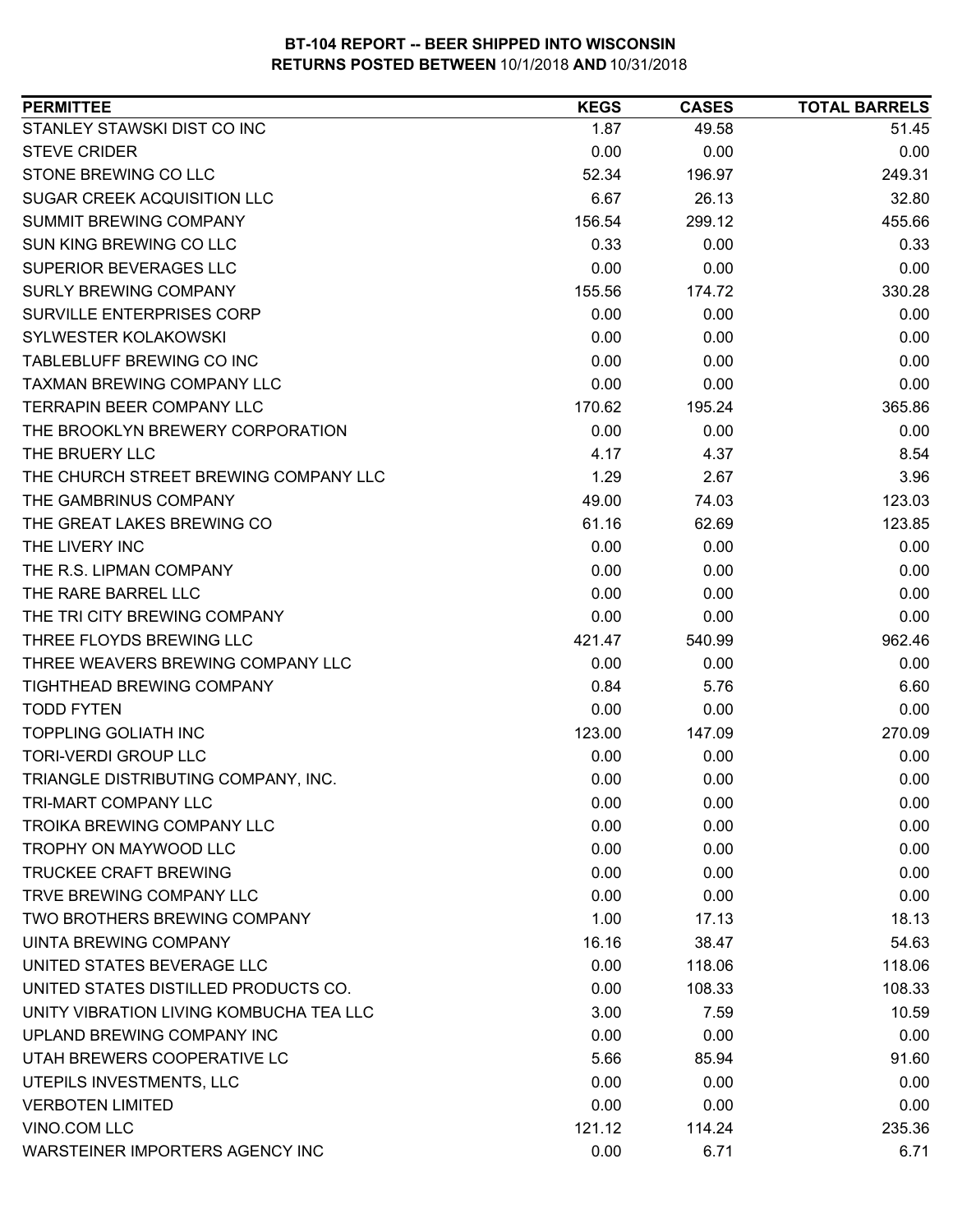| <b>PERMITTEE</b>                        | <b>KEGS</b> | <b>CASES</b> | <b>TOTAL BARRELS</b> |
|-----------------------------------------|-------------|--------------|----------------------|
| STANLEY STAWSKI DIST CO INC             | 1.87        | 49.58        | 51.45                |
| <b>STEVE CRIDER</b>                     | 0.00        | 0.00         | 0.00                 |
| STONE BREWING CO LLC                    | 52.34       | 196.97       | 249.31               |
| SUGAR CREEK ACQUISITION LLC             | 6.67        | 26.13        | 32.80                |
| SUMMIT BREWING COMPANY                  | 156.54      | 299.12       | 455.66               |
| SUN KING BREWING CO LLC                 | 0.33        | 0.00         | 0.33                 |
| <b>SUPERIOR BEVERAGES LLC</b>           | 0.00        | 0.00         | 0.00                 |
| <b>SURLY BREWING COMPANY</b>            | 155.56      | 174.72       | 330.28               |
| SURVILLE ENTERPRISES CORP               | 0.00        | 0.00         | 0.00                 |
| SYLWESTER KOLAKOWSKI                    | 0.00        | 0.00         | 0.00                 |
| TABLEBLUFF BREWING CO INC               | 0.00        | 0.00         | 0.00                 |
| <b>TAXMAN BREWING COMPANY LLC</b>       | 0.00        | 0.00         | 0.00                 |
| <b>TERRAPIN BEER COMPANY LLC</b>        | 170.62      | 195.24       | 365.86               |
| THE BROOKLYN BREWERY CORPORATION        | 0.00        | 0.00         | 0.00                 |
| THE BRUERY LLC                          | 4.17        | 4.37         | 8.54                 |
| THE CHURCH STREET BREWING COMPANY LLC   | 1.29        | 2.67         | 3.96                 |
| THE GAMBRINUS COMPANY                   | 49.00       | 74.03        | 123.03               |
| THE GREAT LAKES BREWING CO              | 61.16       | 62.69        | 123.85               |
| THE LIVERY INC                          | 0.00        | 0.00         | 0.00                 |
| THE R.S. LIPMAN COMPANY                 | 0.00        | 0.00         | 0.00                 |
| THE RARE BARREL LLC                     | 0.00        | 0.00         | 0.00                 |
| THE TRI CITY BREWING COMPANY            | 0.00        | 0.00         | 0.00                 |
| THREE FLOYDS BREWING LLC                | 421.47      | 540.99       | 962.46               |
| THREE WEAVERS BREWING COMPANY LLC       | 0.00        | 0.00         | 0.00                 |
| TIGHTHEAD BREWING COMPANY               | 0.84        | 5.76         | 6.60                 |
| <b>TODD FYTEN</b>                       | 0.00        | 0.00         | 0.00                 |
| <b>TOPPLING GOLIATH INC</b>             | 123.00      | 147.09       | 270.09               |
| <b>TORI-VERDI GROUP LLC</b>             | 0.00        | 0.00         | 0.00                 |
| TRIANGLE DISTRIBUTING COMPANY, INC.     | 0.00        | 0.00         | 0.00                 |
| TRI-MART COMPANY LLC                    | 0.00        | 0.00         | 0.00                 |
| <b>TROIKA BREWING COMPANY LLC</b>       | 0.00        | 0.00         | 0.00                 |
| TROPHY ON MAYWOOD LLC                   | 0.00        | 0.00         | 0.00                 |
| <b>TRUCKEE CRAFT BREWING</b>            | 0.00        | 0.00         | 0.00                 |
| TRVE BREWING COMPANY LLC                | 0.00        | 0.00         | 0.00                 |
| TWO BROTHERS BREWING COMPANY            | 1.00        | 17.13        | 18.13                |
| <b>UINTA BREWING COMPANY</b>            | 16.16       | 38.47        | 54.63                |
| UNITED STATES BEVERAGE LLC              | 0.00        | 118.06       | 118.06               |
| UNITED STATES DISTILLED PRODUCTS CO.    | 0.00        | 108.33       | 108.33               |
| UNITY VIBRATION LIVING KOMBUCHA TEA LLC | 3.00        | 7.59         | 10.59                |
| UPLAND BREWING COMPANY INC              | 0.00        | 0.00         | 0.00                 |
| UTAH BREWERS COOPERATIVE LC             | 5.66        | 85.94        | 91.60                |
| UTEPILS INVESTMENTS, LLC                | 0.00        | 0.00         | 0.00                 |
| <b>VERBOTEN LIMITED</b>                 | 0.00        | 0.00         | 0.00                 |
| VINO.COM LLC                            | 121.12      | 114.24       | 235.36               |
| WARSTEINER IMPORTERS AGENCY INC         | 0.00        | 6.71         | 6.71                 |